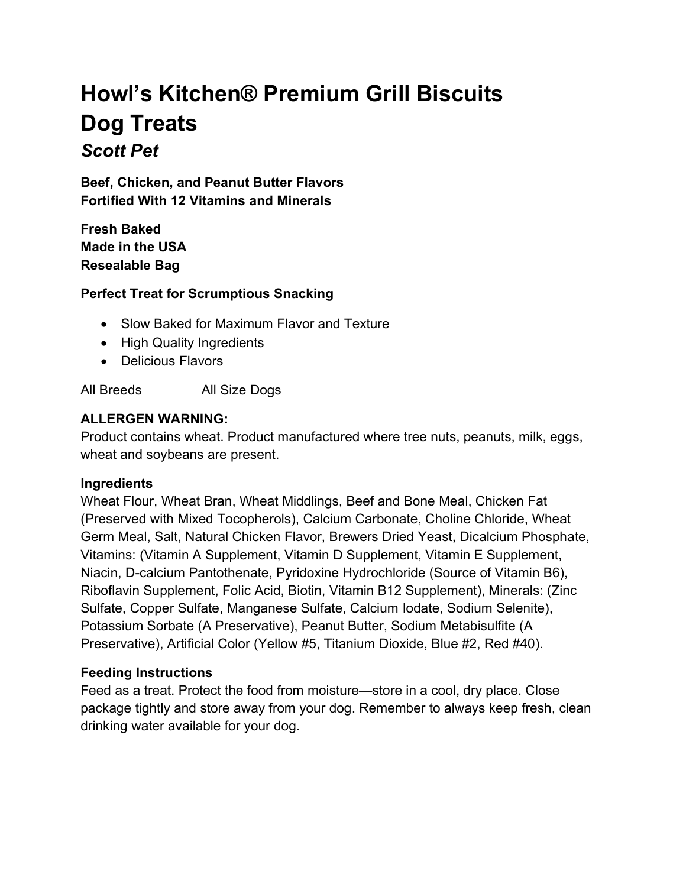# Howl's Kitchen® Premium Grill Biscuits Dog Treats Scott Pet

Beef, Chicken, and Peanut Butter Flavors Fortified With 12 Vitamins and Minerals

Fresh Baked Made in the USA Resealable Bag

#### Perfect Treat for Scrumptious Snacking

- Slow Baked for Maximum Flavor and Texture
- High Quality Ingredients
- Delicious Flavors

All Breeds All Size Dogs

#### ALLERGEN WARNING:

Product contains wheat. Product manufactured where tree nuts, peanuts, milk, eggs, wheat and soybeans are present.

#### **Ingredients**

Wheat Flour, Wheat Bran, Wheat Middlings, Beef and Bone Meal, Chicken Fat (Preserved with Mixed Tocopherols), Calcium Carbonate, Choline Chloride, Wheat Germ Meal, Salt, Natural Chicken Flavor, Brewers Dried Yeast, Dicalcium Phosphate, Vitamins: (Vitamin A Supplement, Vitamin D Supplement, Vitamin E Supplement, Niacin, D-calcium Pantothenate, Pyridoxine Hydrochloride (Source of Vitamin B6), Riboflavin Supplement, Folic Acid, Biotin, Vitamin B12 Supplement), Minerals: (Zinc Sulfate, Copper Sulfate, Manganese Sulfate, Calcium Iodate, Sodium Selenite), Potassium Sorbate (A Preservative), Peanut Butter, Sodium Metabisulfite (A Preservative), Artificial Color (Yellow #5, Titanium Dioxide, Blue #2, Red #40).

## Feeding Instructions

Feed as a treat. Protect the food from moisture—store in a cool, dry place. Close package tightly and store away from your dog. Remember to always keep fresh, clean drinking water available for your dog.